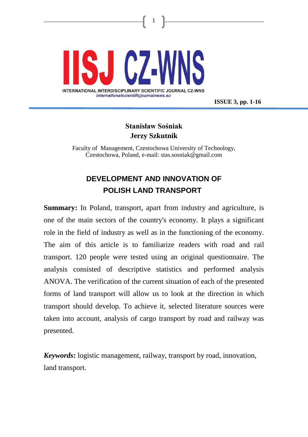

**ISSUE 3, pp. 1-16**

## **Stanisław Sośniak Jerzy Szkutnik**

1

Faculty of Management, Czestochowa University of Technology, Czestochowa, Poland, e-mail: stas.sosniak@gmail.com

# **DEVELOPMENT AND INNOVATION OF POLISH LAND TRANSPORT**

**Summary:** In Poland, transport, apart from industry and agriculture, is one of the main sectors of the country's economy. It plays a significant role in the field of industry as well as in the functioning of the economy. The aim of this article is to familiarize readers with road and rail transport. 120 people were tested using an original questionnaire. The analysis consisted of descriptive statistics and performed analysis ANOVA. The verification of the current situation of each of the presented forms of land transport will allow us to look at the direction in which transport should develop. To achieve it, selected literature sources were taken into account, analysis of cargo transport by road and railway was presented.

*Keywords***:** logistic management, railway, transport by road, innovation, land transport.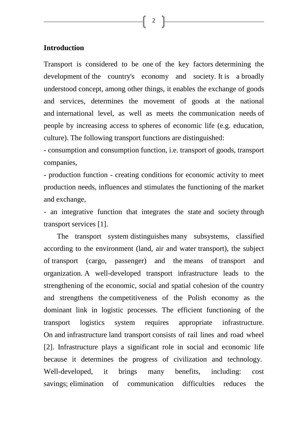2

#### **Introduction**

Transport is considered to be one of the key factors determining the development of the country's economy and society. It is a broadly understood concept, among other things, it enables the exchange of goods and services, determines the movement of goods at the national and international level, as well as meets the communication needs of people by increasing access to spheres of economic life (e.g. education, culture). The following transport functions are distinguished:

- consumption and consumption function, i.e. transport of goods, transport companies,

- production function - creating conditions for economic activity to meet production needs, influences and stimulates the functioning of the market and exchange,

- an integrative function that integrates the state and society through transport services [1].

The transport system distinguishes many subsystems, classified according to the environment (land, air and water transport), the subject of transport (cargo, passenger) and the means of transport and organization. A well-developed transport infrastructure leads to the strengthening of the economic, social and spatial cohesion of the country and strengthens the competitiveness of the Polish economy as the dominant link in logistic processes. The efficient functioning of the transport logistics system requires appropriate infrastructure. On and infrastructure land transport consists of rail lines and road wheel [2]. Infrastructure plays a significant role in social and economic life because it determines the progress of civilization and technology. Well-developed, it brings many benefits, including: cost savings; elimination of communication difficulties reduces the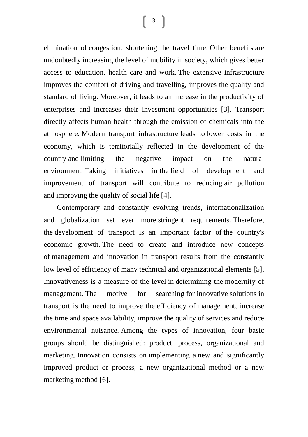elimination of congestion, shortening the travel time. Other benefits are undoubtedly increasing the level of mobility in society, which gives better access to education, health care and work. The extensive infrastructure improves the comfort of driving and travelling, improves the quality and standard of living. Moreover, it leads to an increase in the productivity of enterprises and increases their investment opportunities [3]. Transport directly affects human health through the emission of chemicals into the atmosphere. Modern transport infrastructure leads to lower costs in the economy, which is territorially reflected in the development of the country and limiting the negative impact on the natural environment. Taking initiatives in the field of development and improvement of transport will contribute to reducing air pollution and improving the quality of social life [4].

Contemporary and constantly evolving trends, internationalization and globalization set ever more stringent requirements. Therefore, the development of transport is an important factor of the country's economic growth. The need to create and introduce new concepts of management and innovation in transport results from the constantly low level of efficiency of many technical and organizational elements [5]. Innovativeness is a measure of the level in determining the modernity of management. The motive for searching for innovative solutions in transport is the need to improve the efficiency of management, increase the time and space availability, improve the quality of services and reduce environmental nuisance. Among the types of innovation, four basic groups should be distinguished: product, process, organizational and marketing. Innovation consists on implementing a new and significantly improved product or process, a new organizational method or a new marketing method [6].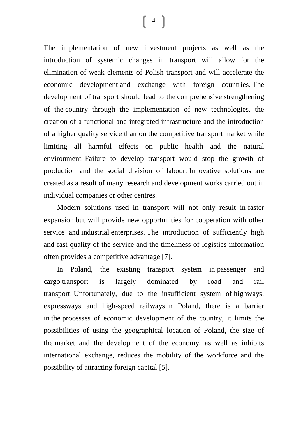The implementation of new investment projects as well as the introduction of systemic changes in transport will allow for the elimination of weak elements of Polish transport and will accelerate the economic development and exchange with foreign countries. The development of transport should lead to the comprehensive strengthening of the country through the implementation of new technologies, the creation of a functional and integrated infrastructure and the introduction of a higher quality service than on the competitive transport market while limiting all harmful effects on public health and the natural environment. Failure to develop transport would stop the growth of production and the social division of labour. Innovative solutions are created as a result of many research and development works carried out in individual companies or other centres.

Modern solutions used in transport will not only result in faster expansion but will provide new opportunities for cooperation with other service and industrial enterprises. The introduction of sufficiently high and fast quality of the service and the timeliness of logistics information often provides a competitive advantage [7].

In Poland, the existing transport system in passenger and cargo transport is largely dominated by road and rail transport. Unfortunately, due to the insufficient system of highways, expressways and high-speed railways in Poland, there is a barrier in the processes of economic development of the country, it limits the possibilities of using the geographical location of Poland, the size of the market and the development of the economy, as well as inhibits international exchange, reduces the mobility of the workforce and the possibility of attracting foreign capital [5].

 $\begin{bmatrix} 4 \end{bmatrix}$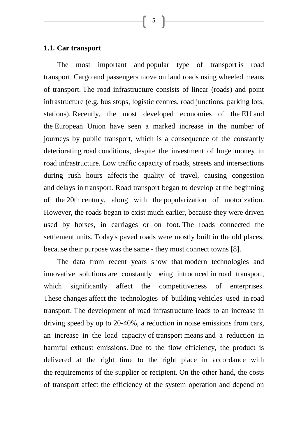5

#### **1.1. Car transport**

The most important and popular type of transport is road transport. Cargo and passengers move on land roads using wheeled means of transport. The road infrastructure consists of linear (roads) and point infrastructure (e.g. bus stops, logistic centres, road junctions, parking lots, stations). Recently, the most developed economies of the EU and the European Union have seen a marked increase in the number of journeys by public transport, which is a consequence of the constantly deteriorating road conditions, despite the investment of huge money in road infrastructure. Low traffic capacity of roads, streets and intersections during rush hours affects the quality of travel, causing congestion and delays in transport. Road transport began to develop at the beginning of the 20th century, along with the popularization of motorization. However, the roads began to exist much earlier, because they were driven used by horses, in carriages or on foot. The roads connected the settlement units. Today's paved roads were mostly built in the old places, because their purpose was the same - they must connect towns [8].

The data from recent years show that modern technologies and innovative solutions are constantly being introduced in road transport, which significantly affect the competitiveness of enterprises. These changes affect the technologies of building vehicles used in road transport. The development of road infrastructure leads to an increase in driving speed by up to 20-40%, a reduction in noise emissions from cars, an increase in the load capacity of transport means and a reduction in harmful exhaust emissions. Due to the flow efficiency, the product is delivered at the right time to the right place in accordance with the requirements of the supplier or recipient. On the other hand, the costs of transport affect the efficiency of the system operation and depend on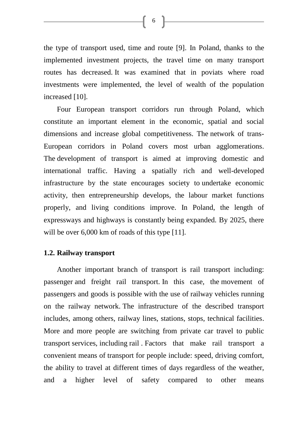$\left\{ \begin{array}{c} 6 \end{array} \right\}$ 

the type of transport used, time and route [9]. In Poland, thanks to the implemented investment projects, the travel time on many transport routes has decreased. It was examined that in poviats where road investments were implemented, the level of wealth of the population increased [10].

Four European transport corridors run through Poland, which constitute an important element in the economic, spatial and social dimensions and increase global competitiveness. The network of trans-European corridors in Poland covers most urban agglomerations. The development of transport is aimed at improving domestic and international traffic. Having a spatially rich and well-developed infrastructure by the state encourages society to undertake economic activity, then entrepreneurship develops, the labour market functions properly, and living conditions improve. In Poland, the length of expressways and highways is constantly being expanded. By 2025, there will be over 6,000 km of roads of this type [11].

#### **1.2. Railway transport**

Another important branch of transport is rail transport including: passenger and freight rail transport. In this case, the movement of passengers and goods is possible with the use of railway vehicles running on the railway network. The infrastructure of the described transport includes, among others, railway lines, stations, stops, technical facilities. More and more people are switching from private car travel to public transport services, including rail . Factors that make rail transport a convenient means of transport for people include: speed, driving comfort, the ability to travel at different times of days regardless of the weather, and a higher level of safety compared to other means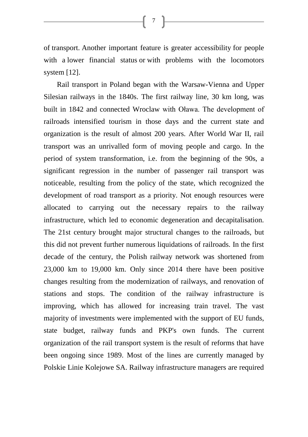of transport. Another important feature is greater accessibility for people with a lower financial status or with problems with the locomotors system [12].

7 ]

Rail transport in Poland began with the Warsaw-Vienna and Upper Silesian railways in the 1840s. The first railway line, 30 km long, was built in 1842 and connected Wroclaw with Oława. The development of railroads intensified tourism in those days and the current state and organization is the result of almost 200 years. After World War II, rail transport was an unrivalled form of moving people and cargo. In the period of system transformation, i.e. from the beginning of the 90s, a significant regression in the number of passenger rail transport was noticeable, resulting from the policy of the state, which recognized the development of road transport as a priority. Not enough resources were allocated to carrying out the necessary repairs to the railway infrastructure, which led to economic degeneration and decapitalisation. The 21st century brought major structural changes to the railroads, but this did not prevent further numerous liquidations of railroads. In the first decade of the century, the Polish railway network was shortened from 23,000 km to 19,000 km. Only since 2014 there have been positive changes resulting from the modernization of railways, and renovation of stations and stops. The condition of the railway infrastructure is improving, which has allowed for increasing train travel. The vast majority of investments were implemented with the support of EU funds, state budget, railway funds and PKP's own funds. The current organization of the rail transport system is the result of reforms that have been ongoing since 1989. Most of the lines are currently managed by Polskie Linie Kolejowe SA. Railway infrastructure managers are required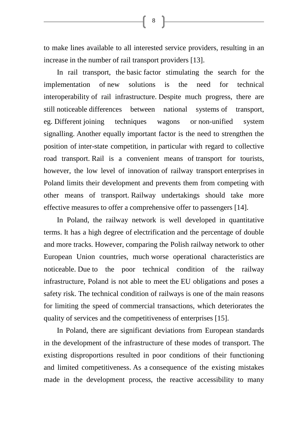to make lines available to all interested service providers, resulting in an increase in the number of rail transport providers [13].

In rail transport, the basic factor stimulating the search for the implementation of new solutions is the need for technical interoperability of rail infrastructure. Despite much progress, there are still noticeable differences between national systems of transport, eg. Different joining techniques wagons or non-unified system signalling. Another equally important factor is the need to strengthen the position of inter-state competition, in particular with regard to collective road transport. Rail is a convenient means of transport for tourists, however, the low level of innovation of railway transport enterprises in Poland limits their development and prevents them from competing with other means of transport. Railway undertakings should take more effective measures to offer a comprehensive offer to passengers [14].

In Poland, the railway network is well developed in quantitative terms. It has a high degree of electrification and the percentage of double and more tracks. However, comparing the Polish railway network to other European Union countries, much worse operational characteristics are noticeable. Due to the poor technical condition of the railway infrastructure, Poland is not able to meet the EU obligations and poses a safety risk. The technical condition of railways is one of the main reasons for limiting the speed of commercial transactions, which deteriorates the quality of services and the competitiveness of enterprises [15].

In Poland, there are significant deviations from European standards in the development of the infrastructure of these modes of transport. The existing disproportions resulted in poor conditions of their functioning and limited competitiveness. As a consequence of the existing mistakes made in the development process, the reactive accessibility to many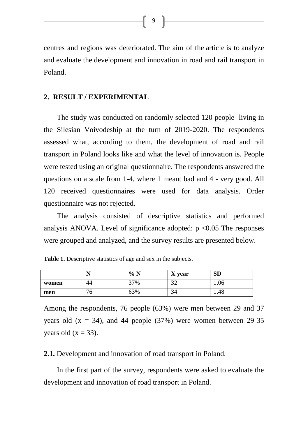centres and regions was deteriorated. The aim of the article is to analyze and evaluate the development and innovation in road and rail transport in Poland.

#### **2. RESULT / EXPERIMENTAL**

The study was conducted on randomly selected 120 people living in the Silesian Voivodeship at the turn of 2019-2020. The respondents assessed what, according to them, the development of road and rail transport in Poland looks like and what the level of innovation is. People were tested using an original questionnaire. The respondents answered the questions on a scale from 1-4, where 1 meant bad and 4 - very good. All 120 received questionnaires were used for data analysis. Order questionnaire was not rejected.

The analysis consisted of descriptive statistics and performed analysis ANOVA. Level of significance adopted:  $p \le 0.05$  The responses were grouped and analyzed, and the survey results are presented below.

|       | N            | % N | X year           | <b>SD</b> |
|-------|--------------|-----|------------------|-----------|
| women | 44           | 37% | $\bigcap$<br>ے ر | 1,06      |
| men   | $\sim$<br>'0 | 63% | $\sim$<br>34     | 1,48      |

**Table 1.** Descriptive statistics of age and sex in the subjects.

Among the respondents, 76 people (63%) were men between 29 and 37 years old  $(x = 34)$ , and 44 people  $(37%)$  were women between 29-35 years old  $(x = 33)$ .

**2.1.** Development and innovation of road transport in Poland.

In the first part of the survey, respondents were asked to evaluate the development and innovation of road transport in Poland.

【9】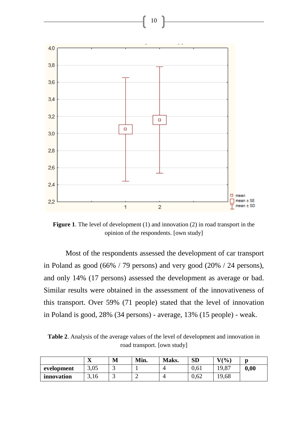

**Figure 1**. The level of development (1) and innovation (2) in road transport in the opinion of the respondents. [own study]

Most of the respondents assessed the development of car transport in Poland as good (66% / 79 persons) and very good (20% / 24 persons), and only 14% (17 persons) assessed the development as average or bad. Similar results were obtained in the assessment of the innovativeness of this transport. Over 59% (71 people) stated that the level of innovation in Poland is good, 28% (34 persons) - average, 13% (15 people) - weak.

**Table 2**. Analysis of the average values of the level of development and innovation in road transport. [own study]

|            | $\overline{\mathbf{r}}$<br>́△ | М | Min. | Maks. | <b>SD</b> | $V(\%)$ | n    |
|------------|-------------------------------|---|------|-------|-----------|---------|------|
| evelopment | 3,05                          |   |      |       | 0.61      | 19,87   | 0.00 |
| innovation | 3,16                          | ້ |      |       | 0.62      | 19,68   |      |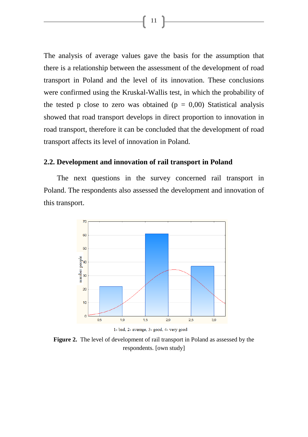The analysis of average values gave the basis for the assumption that there is a relationship between the assessment of the development of road transport in Poland and the level of its innovation. These conclusions were confirmed using the Kruskal-Wallis test, in which the probability of the tested p close to zero was obtained ( $p = 0,00$ ) Statistical analysis showed that road transport develops in direct proportion to innovation in road transport, therefore it can be concluded that the development of road transport affects its level of innovation in Poland.

### **2.2. Development and innovation of rail transport in Poland**

The next questions in the survey concerned rail transport in Poland. The respondents also assessed the development and innovation of this transport.



1- bad, 2- average, 3- good, 4- very good

**Figure 2.** The level of development of rail transport in Poland as assessed by the respondents. [own study]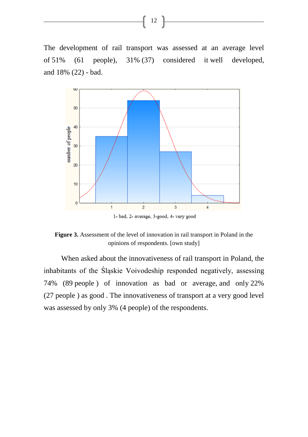The development of rail transport was assessed at an average level of 51% (61 people), 31% (37) considered it well developed, and 18% (22) - bad.

12



**Figure 3.** Assessment of the level of innovation in rail transport in Poland in the opinions of respondents. [own study]

When asked about the innovativeness of rail transport in Poland, the inhabitants of the Śląskie Voivodeship responded negatively, assessing 74% (89 people ) of innovation as bad or average, and only 22% (27 people ) as good . The innovativeness of transport at a very good level was assessed by only 3% (4 people) of the respondents.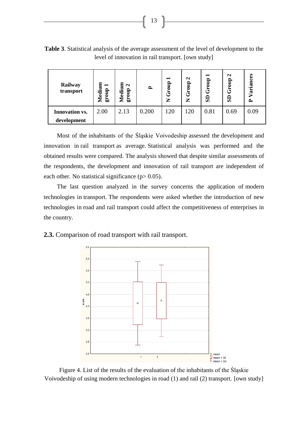**Table 3**. Statistical analysis of the average assessment of the level of development to the level of innovation in rail transport. [own study]

| Railway<br>transport  | Medium<br>−<br>$\frac{1}{2}$<br>Ğ, | Medium<br>$\mathbf{\Omega}$<br>group | $\mathbf{r}$ | −<br>$\frac{1}{2}$<br>යි<br>Z | $\mathbf{\Omega}$<br>dno<br>త్<br>Z | −<br>Group<br>$\mathbf{s}$ | $\mathbf{\Omega}$<br>Group<br>SD | Variances<br>≏ |
|-----------------------|------------------------------------|--------------------------------------|--------------|-------------------------------|-------------------------------------|----------------------------|----------------------------------|----------------|
| <b>Innovation vs.</b> | 2.00                               | 2.13                                 | 0.200        | 120                           | 120                                 | 0.81                       | 0.69                             | 0.09           |
| development           |                                    |                                      |              |                               |                                     |                            |                                  |                |

Most of the inhabitants of the Śląskie Voivodeship assessed the development and innovation in rail transport as average. Statistical analysis was performed and the obtained results were compared. The analysis showed that despite similar assessments of the respondents, the development and innovation of rail transport are independent of each other. No statistical significance  $(p > 0.05)$ .

The last question analyzed in the survey concerns the application of modern technologies in transport. The respondents were asked whether the introduction of new technologies in road and rail transport could affect the competitiveness of enterprises in the country.

**2.3.** Comparison of road transport with rail transport.



Figure 4. List of the results of the evaluation of the inhabitants of the Śląskie Voivodeship of using modern technologies in road (1) and rail (2) transport. [own study]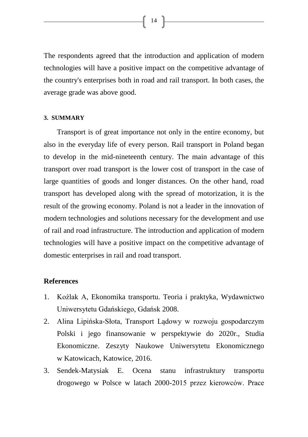The respondents agreed that the introduction and application of modern technologies will have a positive impact on the competitive advantage of the country's enterprises both in road and rail transport. In both cases, the

**3. SUMMARY** 

average grade was above good.

Transport is of great importance not only in the entire economy, but also in the everyday life of every person. Rail transport in Poland began to develop in the mid-nineteenth century. The main advantage of this transport over road transport is the lower cost of transport in the case of large quantities of goods and longer distances. On the other hand, road transport has developed along with the spread of motorization, it is the result of the growing economy. Poland is not a leader in the innovation of modern technologies and solutions necessary for the development and use of rail and road infrastructure. The introduction and application of modern technologies will have a positive impact on the competitive advantage of domestic enterprises in rail and road transport.

#### **References**

- 1. Koźlak A, Ekonomika transportu. Teoria i praktyka, Wydawnictwo Uniwersytetu Gdańskiego, Gdańsk 2008.
- 2. Alina Lipińska-Słota, Transport Lądowy w rozwoju gospodarczym Polski i jego finansowanie w perspektywie do 2020r., Studia Ekonomiczne. Zeszyty Naukowe Uniwersytetu Ekonomicznego w Katowicach, Katowice, 2016.
- 3. Sendek-Matysiak E. Ocena stanu infrastruktury transportu drogowego w Polsce w latach 2000-2015 przez kierowców. Prace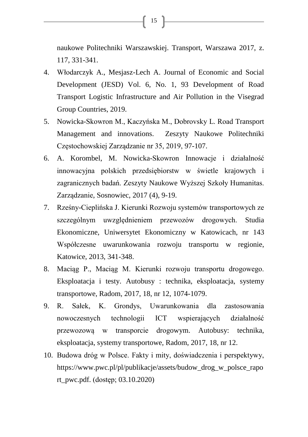naukowe Politechniki Warszawskiej. Transport, Warszawa 2017, z. 117, 331-341.

- 4. Włodarczyk A., Mesjasz-Lech A. Journal of Economic and Social Development (JESD) Vol. 6, No. 1, 93 Development of Road Transport Logistic Infrastructure and Air Pollution in the Visegrad Group Countries, 2019.
- 5. Nowicka-Skowron M., Kaczyńska M., Dobrovsky L. Road Transport Management and innovations. Zeszyty Naukowe Politechniki Częstochowskiej Zarządzanie nr 35, 2019, 97-107.
- 6. A. Korombel, M. Nowicka-Skowron Innowacje i działalność innowacyjna polskich przedsiębiorstw w świetle krajowych i zagranicznych badań. Zeszyty Naukowe Wyższej Szkoły Humanitas. Zarządzanie, Sosnowiec, 2017 (4), 9-19.
- 7. Rześny-Cieplińska J. Kierunki Rozwoju systemów transportowych ze szczególnym uwzględnieniem przewozów drogowych. [Studia](http://bazekon.icm.edu.pl/bazekon/element/bwmeta1.element.ekon-element-issn-2083-8611) [Ekonomiczne,](http://bazekon.icm.edu.pl/bazekon/element/bwmeta1.element.ekon-element-issn-2083-8611) Uniwersytet Ekonomiczny w Katowicach, nr [143](http://bazekon.icm.edu.pl/bazekon/element/bwmeta1.element.ekon-element-cb3763a5-9b0e-38d2-8826-ec41bcd9cea7) Współczesne [uwarunkowania](http://bazekon.icm.edu.pl/bazekon/element/bwmeta1.element.ekon-element-cb3763a5-9b0e-38d2-8826-ec41bcd9cea7) rozwoju transportu w regionie, Katowice, 2013, 341-348.
- 8. Maciąg P., Maciąg M. Kierunki rozwoju transportu drogowego. Eksploatacja i testy. Autobusy : technika, [eksploatacja,](http://yadda.icm.edu.pl/baztech/element/bwmeta1.element.baztech-journal-1509-5878-autobusy__technika_eksploatacja_systemy_transportowe) systemy [transportowe,](http://yadda.icm.edu.pl/baztech/element/bwmeta1.element.baztech-journal-1509-5878-autobusy__technika_eksploatacja_systemy_transportowe) Radom, 2017, 18, nr 12, 1074-1079.
- 9. R. Sałek, K. Grondys, Uwarunkowania dla zastosowania nowoczesnych technologii ICT wspierających działalność przewozową w transporcie drogowym. Autobusy: technika, eksploatacja, systemy transportowe, Radom, 2017, 18, nr 12.
- 10. Budowa dróg w Polsce. Fakty i mity, doświadczenia i perspektywy, [https://www.pwc.pl/pl/publikacje/assets/budow\\_drog\\_w\\_polsce\\_rapo](https://www.pwc.pl/pl/publikacje/assets/budow_drog_w_polsce_raport_pwc.pdf) [rt\\_pwc.pdf.](https://www.pwc.pl/pl/publikacje/assets/budow_drog_w_polsce_raport_pwc.pdf) (dostęp; 03.10.2020)